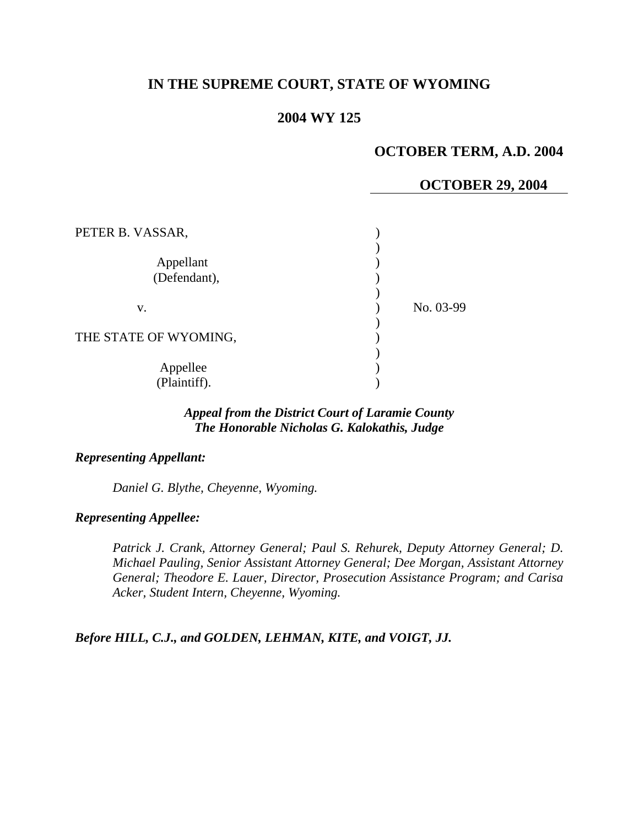# **IN THE SUPREME COURT, STATE OF WYOMING**

### **2004 WY 125**

# **OCTOBER TERM, A.D. 2004**

### **OCTOBER 29, 2004**

| PETER B. VASSAR,          |           |
|---------------------------|-----------|
| Appellant<br>(Defendant), |           |
| V.                        | No. 03-99 |
| THE STATE OF WYOMING,     |           |
| Appellee<br>(Plaintiff).  |           |

### *Appeal from the District Court of Laramie County The Honorable Nicholas G. Kalokathis, Judge*

#### *Representing Appellant:*

 *Daniel G. Blythe, Cheyenne, Wyoming.* 

### *Representing Appellee:*

*Patrick J. Crank, Attorney General; Paul S. Rehurek, Deputy Attorney General; D. Michael Pauling, Senior Assistant Attorney General; Dee Morgan, Assistant Attorney General; Theodore E. Lauer, Director, Prosecution Assistance Program; and Carisa Acker, Student Intern, Cheyenne, Wyoming.* 

*Before HILL, C.J., and GOLDEN, LEHMAN, KITE, and VOIGT, JJ.*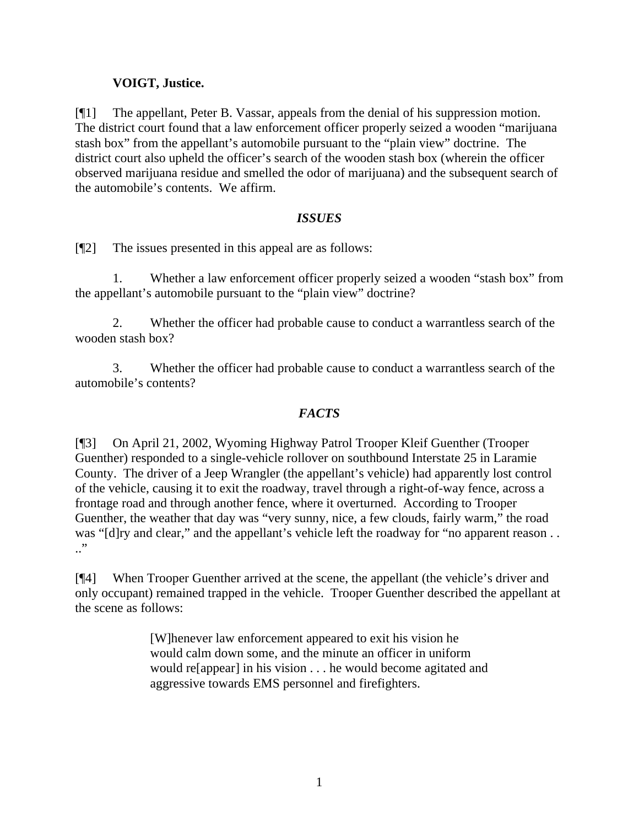# **VOIGT, Justice.**

[¶1] The appellant, Peter B. Vassar, appeals from the denial of his suppression motion. The district court found that a law enforcement officer properly seized a wooden "marijuana stash box" from the appellant's automobile pursuant to the "plain view" doctrine. The district court also upheld the officer's search of the wooden stash box (wherein the officer observed marijuana residue and smelled the odor of marijuana) and the subsequent search of the automobile's contents. We affirm.

## *ISSUES*

[¶2] The issues presented in this appeal are as follows:

1. Whether a law enforcement officer properly seized a wooden "stash box" from the appellant's automobile pursuant to the "plain view" doctrine?

2. Whether the officer had probable cause to conduct a warrantless search of the wooden stash box?

3. Whether the officer had probable cause to conduct a warrantless search of the automobile's contents?

## *FACTS*

[¶3] On April 21, 2002, Wyoming Highway Patrol Trooper Kleif Guenther (Trooper Guenther) responded to a single-vehicle rollover on southbound Interstate 25 in Laramie County. The driver of a Jeep Wrangler (the appellant's vehicle) had apparently lost control of the vehicle, causing it to exit the roadway, travel through a right-of-way fence, across a frontage road and through another fence, where it overturned. According to Trooper Guenther, the weather that day was "very sunny, nice, a few clouds, fairly warm," the road was "[d]ry and clear," and the appellant's vehicle left the roadway for "no apparent reason...  $\cdot$ "

[¶4] When Trooper Guenther arrived at the scene, the appellant (the vehicle's driver and only occupant) remained trapped in the vehicle. Trooper Guenther described the appellant at the scene as follows:

> [W]henever law enforcement appeared to exit his vision he would calm down some, and the minute an officer in uniform would re[appear] in his vision . . . he would become agitated and aggressive towards EMS personnel and firefighters.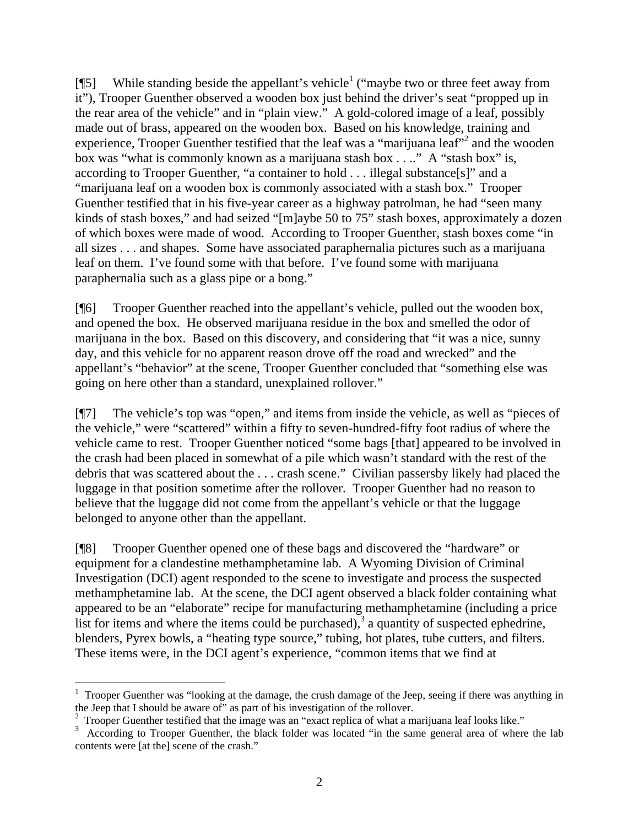[ $[$ [5] While standing beside the appellant's vehicle<sup>1</sup> ("maybe two or three feet away from it"), Trooper Guenther observed a wooden box just behind the driver's seat "propped up in the rear area of the vehicle" and in "plain view." A gold-colored image of a leaf, possibly made out of brass, appeared on the wooden box. Based on his knowledge, training and experience, Trooper Guenther testified that the leaf was a "marijuana leaf"<sup>2</sup> and the wooden box was "what is commonly known as a marijuana stash box . . .." A "stash box" is, according to Trooper Guenther, "a container to hold . . . illegal substance[s]" and a "marijuana leaf on a wooden box is commonly associated with a stash box." Trooper Guenther testified that in his five-year career as a highway patrolman, he had "seen many kinds of stash boxes," and had seized "[m]aybe 50 to 75" stash boxes, approximately a dozen of which boxes were made of wood. According to Trooper Guenther, stash boxes come "in all sizes . . . and shapes. Some have associated paraphernalia pictures such as a marijuana leaf on them. I've found some with that before. I've found some with marijuana paraphernalia such as a glass pipe or a bong."

[¶6] Trooper Guenther reached into the appellant's vehicle, pulled out the wooden box, and opened the box. He observed marijuana residue in the box and smelled the odor of marijuana in the box. Based on this discovery, and considering that "it was a nice, sunny day, and this vehicle for no apparent reason drove off the road and wrecked" and the appellant's "behavior" at the scene, Trooper Guenther concluded that "something else was going on here other than a standard, unexplained rollover."

[¶7] The vehicle's top was "open," and items from inside the vehicle, as well as "pieces of the vehicle," were "scattered" within a fifty to seven-hundred-fifty foot radius of where the vehicle came to rest. Trooper Guenther noticed "some bags [that] appeared to be involved in the crash had been placed in somewhat of a pile which wasn't standard with the rest of the debris that was scattered about the . . . crash scene." Civilian passersby likely had placed the luggage in that position sometime after the rollover. Trooper Guenther had no reason to believe that the luggage did not come from the appellant's vehicle or that the luggage belonged to anyone other than the appellant.

[¶8] Trooper Guenther opened one of these bags and discovered the "hardware" or equipment for a clandestine methamphetamine lab. A Wyoming Division of Criminal Investigation (DCI) agent responded to the scene to investigate and process the suspected methamphetamine lab. At the scene, the DCI agent observed a black folder containing what appeared to be an "elaborate" recipe for manufacturing methamphetamine (including a price list for items and where the items could be purchased), $3$  a quantity of suspected ephedrine, blenders, Pyrex bowls, a "heating type source," tubing, hot plates, tube cutters, and filters. These items were, in the DCI agent's experience, "common items that we find at

 $\overline{a}$ 

<sup>&</sup>lt;sup>1</sup> Trooper Guenther was "looking at the damage, the crush damage of the Jeep, seeing if there was anything in the Jeep that I should be aware of" as part of his investigation of the rollover.

<sup>2</sup> Trooper Guenther testified that the image was an "exact replica of what a marijuana leaf looks like."

<sup>&</sup>lt;sup>3</sup> According to Trooper Guenther, the black folder was located "in the same general area of where the lab contents were [at the] scene of the crash."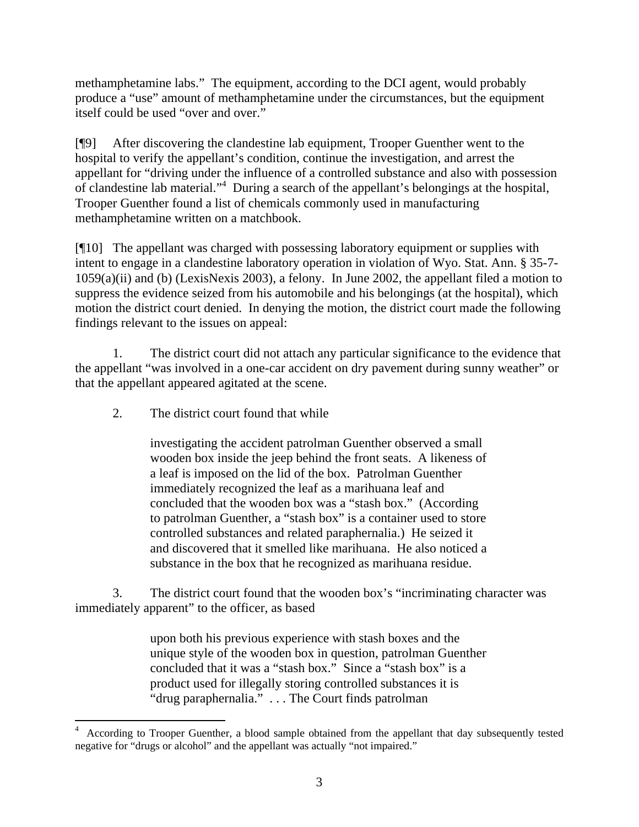methamphetamine labs." The equipment, according to the DCI agent, would probably produce a "use" amount of methamphetamine under the circumstances, but the equipment itself could be used "over and over."

[¶9] After discovering the clandestine lab equipment, Trooper Guenther went to the hospital to verify the appellant's condition, continue the investigation, and arrest the appellant for "driving under the influence of a controlled substance and also with possession of clandestine lab material."<sup>4</sup> During a search of the appellant's belongings at the hospital, Trooper Guenther found a list of chemicals commonly used in manufacturing methamphetamine written on a matchbook.

[¶10] The appellant was charged with possessing laboratory equipment or supplies with intent to engage in a clandestine laboratory operation in violation of Wyo. Stat. Ann. § 35-7- 1059(a)(ii) and (b) (LexisNexis 2003), a felony. In June 2002, the appellant filed a motion to suppress the evidence seized from his automobile and his belongings (at the hospital), which motion the district court denied. In denying the motion, the district court made the following findings relevant to the issues on appeal:

1. The district court did not attach any particular significance to the evidence that the appellant "was involved in a one-car accident on dry pavement during sunny weather" or that the appellant appeared agitated at the scene.

2. The district court found that while

investigating the accident patrolman Guenther observed a small wooden box inside the jeep behind the front seats. A likeness of a leaf is imposed on the lid of the box. Patrolman Guenther immediately recognized the leaf as a marihuana leaf and concluded that the wooden box was a "stash box." (According to patrolman Guenther, a "stash box" is a container used to store controlled substances and related paraphernalia.) He seized it and discovered that it smelled like marihuana. He also noticed a substance in the box that he recognized as marihuana residue.

3. The district court found that the wooden box's "incriminating character was immediately apparent" to the officer, as based

> upon both his previous experience with stash boxes and the unique style of the wooden box in question, patrolman Guenther concluded that it was a "stash box." Since a "stash box" is a product used for illegally storing controlled substances it is "drug paraphernalia." . . . The Court finds patrolman

 4 According to Trooper Guenther, a blood sample obtained from the appellant that day subsequently tested negative for "drugs or alcohol" and the appellant was actually "not impaired."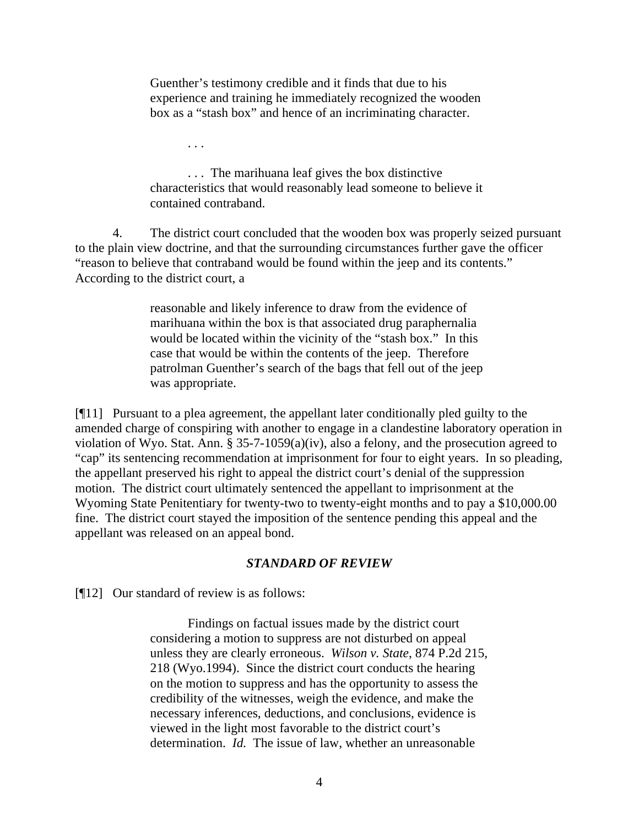Guenther's testimony credible and it finds that due to his experience and training he immediately recognized the wooden box as a "stash box" and hence of an incriminating character.

. . . The marihuana leaf gives the box distinctive characteristics that would reasonably lead someone to believe it contained contraband.

4. The district court concluded that the wooden box was properly seized pursuant to the plain view doctrine, and that the surrounding circumstances further gave the officer "reason to believe that contraband would be found within the jeep and its contents." According to the district court, a

> reasonable and likely inference to draw from the evidence of marihuana within the box is that associated drug paraphernalia would be located within the vicinity of the "stash box." In this case that would be within the contents of the jeep. Therefore patrolman Guenther's search of the bags that fell out of the jeep was appropriate.

[¶11] Pursuant to a plea agreement, the appellant later conditionally pled guilty to the amended charge of conspiring with another to engage in a clandestine laboratory operation in violation of Wyo. Stat. Ann. § 35-7-1059(a)(iv), also a felony, and the prosecution agreed to "cap" its sentencing recommendation at imprisonment for four to eight years. In so pleading, the appellant preserved his right to appeal the district court's denial of the suppression motion. The district court ultimately sentenced the appellant to imprisonment at the Wyoming State Penitentiary for twenty-two to twenty-eight months and to pay a \$10,000.00 fine. The district court stayed the imposition of the sentence pending this appeal and the appellant was released on an appeal bond.

### *STANDARD OF REVIEW*

[¶12] Our standard of review is as follows:

. . .

Findings on factual issues made by the district court considering a motion to suppress are not disturbed on appeal unless they are clearly erroneous. *Wilson v. State*, 874 P.2d 215, 218 (Wyo.1994). Since the district court conducts the hearing on the motion to suppress and has the opportunity to assess the credibility of the witnesses, weigh the evidence, and make the necessary inferences, deductions, and conclusions, evidence is viewed in the light most favorable to the district court's determination. *Id.* The issue of law, whether an unreasonable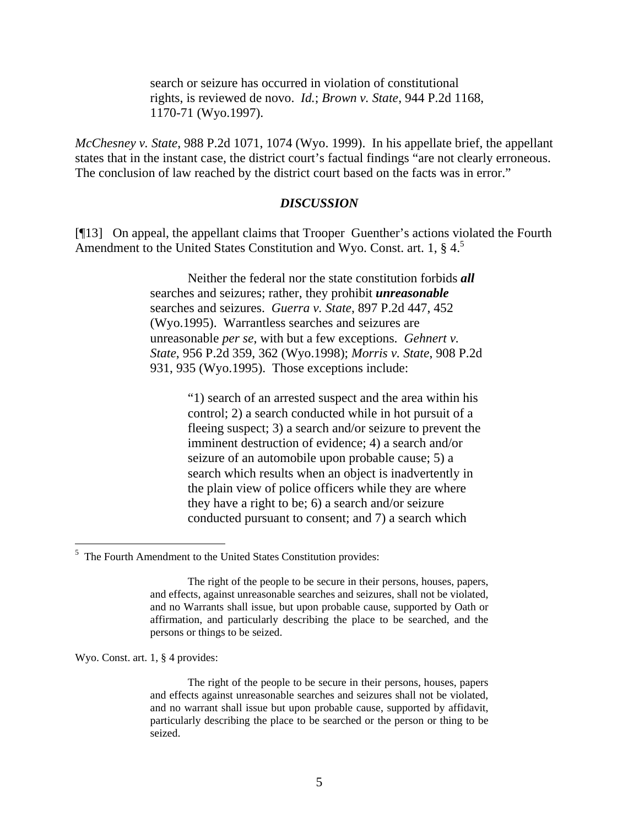search or seizure has occurred in violation of constitutional rights, is reviewed de novo. *Id.*; *Brown v. State*, 944 P.2d 1168, 1170-71 (Wyo.1997).

*McChesney v. State*, 988 P.2d 1071, 1074 (Wyo. 1999). In his appellate brief, the appellant states that in the instant case, the district court's factual findings "are not clearly erroneous. The conclusion of law reached by the district court based on the facts was in error."

#### *DISCUSSION*

[¶13] On appeal, the appellant claims that Trooper Guenther's actions violated the Fourth Amendment to the United States Constitution and Wyo. Const. art. 1,  $\S 4$ <sup>5</sup>

> Neither the federal nor the state constitution forbids *all* searches and seizures; rather, they prohibit *unreasonable* searches and seizures. *Guerra v. State*, 897 P.2d 447, 452 (Wyo.1995). Warrantless searches and seizures are unreasonable *per se*, with but a few exceptions. *Gehnert v. State*, 956 P.2d 359, 362 (Wyo.1998); *Morris v. State*, 908 P.2d 931, 935 (Wyo.1995). Those exceptions include:

> > "1) search of an arrested suspect and the area within his control; 2) a search conducted while in hot pursuit of a fleeing suspect; 3) a search and/or seizure to prevent the imminent destruction of evidence; 4) a search and/or seizure of an automobile upon probable cause; 5) a search which results when an object is inadvertently in the plain view of police officers while they are where they have a right to be; 6) a search and/or seizure conducted pursuant to consent; and 7) a search which

Wyo. Const. art. 1, § 4 provides:

<sup>&</sup>lt;sup>5</sup> The Fourth Amendment to the United States Constitution provides:

The right of the people to be secure in their persons, houses, papers, and effects, against unreasonable searches and seizures, shall not be violated, and no Warrants shall issue, but upon probable cause, supported by Oath or affirmation, and particularly describing the place to be searched, and the persons or things to be seized.

The right of the people to be secure in their persons, houses, papers and effects against unreasonable searches and seizures shall not be violated, and no warrant shall issue but upon probable cause, supported by affidavit, particularly describing the place to be searched or the person or thing to be seized.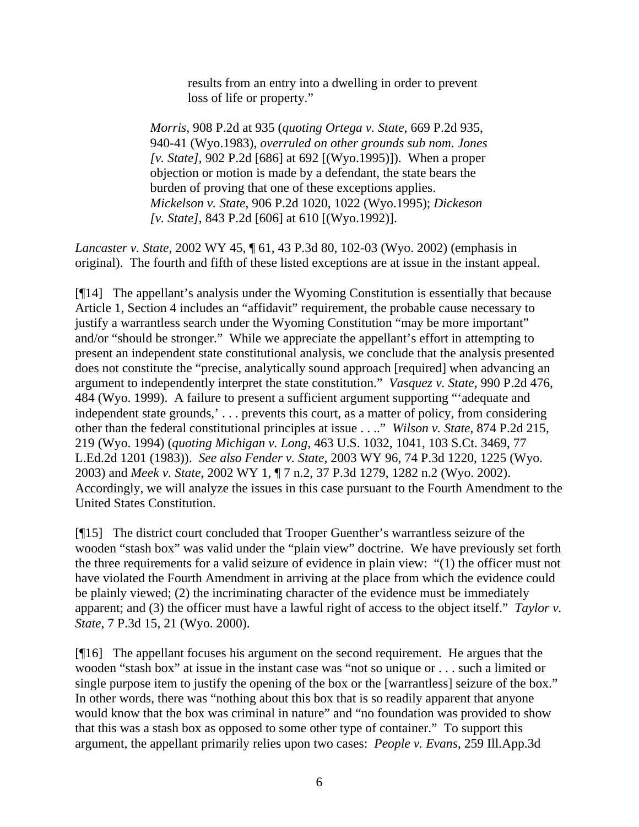results from an entry into a dwelling in order to prevent loss of life or property."

*Morris*, 908 P.2d at 935 (*quoting Ortega v. State*, 669 P.2d 935, 940-41 (Wyo.1983), *overruled on other grounds sub nom. Jones [v. State]*, 902 P.2d [686] at 692 [(Wyo.1995)]). When a proper objection or motion is made by a defendant, the state bears the burden of proving that one of these exceptions applies. *Mickelson v. State*, 906 P.2d 1020, 1022 (Wyo.1995); *Dickeson [v. State]*, 843 P.2d [606] at 610 [(Wyo.1992)].

*Lancaster v. State*, 2002 WY 45, ¶ 61, 43 P.3d 80, 102-03 (Wyo. 2002) (emphasis in original). The fourth and fifth of these listed exceptions are at issue in the instant appeal.

[¶14] The appellant's analysis under the Wyoming Constitution is essentially that because Article 1, Section 4 includes an "affidavit" requirement, the probable cause necessary to justify a warrantless search under the Wyoming Constitution "may be more important" and/or "should be stronger." While we appreciate the appellant's effort in attempting to present an independent state constitutional analysis, we conclude that the analysis presented does not constitute the "precise, analytically sound approach [required] when advancing an argument to independently interpret the state constitution." *Vasquez v. State*, 990 P.2d 476, 484 (Wyo. 1999). A failure to present a sufficient argument supporting "'adequate and independent state grounds,' . . . prevents this court, as a matter of policy, from considering other than the federal constitutional principles at issue . . .." *Wilson v. State*, 874 P.2d 215, 219 (Wyo. 1994) (*quoting Michigan v. Long*, 463 U.S. 1032, 1041, 103 S.Ct. 3469, 77 L.Ed.2d 1201 (1983)). *See also Fender v. State*, 2003 WY 96, 74 P.3d 1220, 1225 (Wyo. 2003) and *Meek v. State*, 2002 WY 1, ¶ 7 n.2, 37 P.3d 1279, 1282 n.2 (Wyo. 2002). Accordingly, we will analyze the issues in this case pursuant to the Fourth Amendment to the United States Constitution.

[¶15] The district court concluded that Trooper Guenther's warrantless seizure of the wooden "stash box" was valid under the "plain view" doctrine. We have previously set forth the three requirements for a valid seizure of evidence in plain view: "(1) the officer must not have violated the Fourth Amendment in arriving at the place from which the evidence could be plainly viewed; (2) the incriminating character of the evidence must be immediately apparent; and (3) the officer must have a lawful right of access to the object itself." *Taylor v. State*, 7 P.3d 15, 21 (Wyo. 2000).

[¶16] The appellant focuses his argument on the second requirement. He argues that the wooden "stash box" at issue in the instant case was "not so unique or . . . such a limited or single purpose item to justify the opening of the box or the [warrantless] seizure of the box." In other words, there was "nothing about this box that is so readily apparent that anyone would know that the box was criminal in nature" and "no foundation was provided to show that this was a stash box as opposed to some other type of container." To support this argument, the appellant primarily relies upon two cases: *People v. Evans*, 259 Ill.App.3d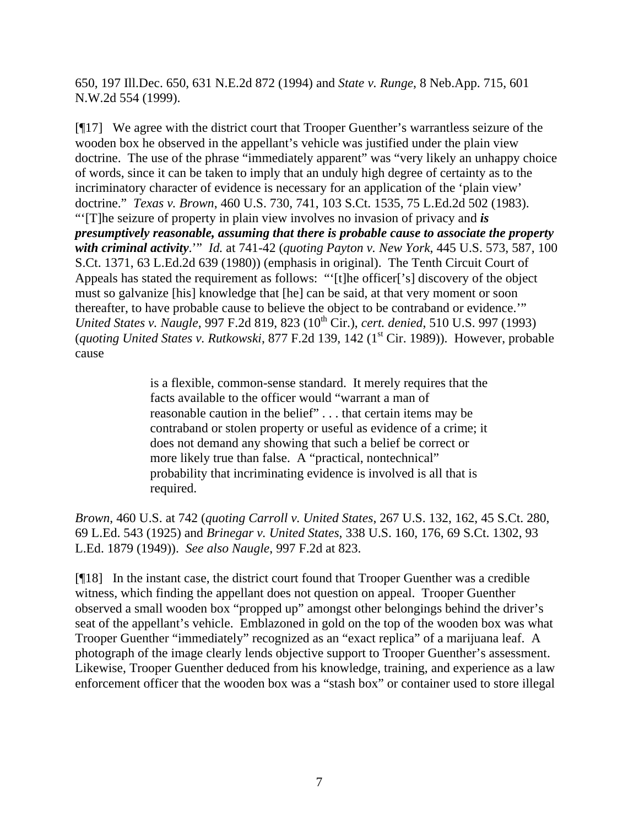650, 197 Ill.Dec. 650, 631 N.E.2d 872 (1994) and *State v. Runge*, 8 Neb.App. 715, 601 N.W.2d 554 (1999).

[¶17] We agree with the district court that Trooper Guenther's warrantless seizure of the wooden box he observed in the appellant's vehicle was justified under the plain view doctrine. The use of the phrase "immediately apparent" was "very likely an unhappy choice of words, since it can be taken to imply that an unduly high degree of certainty as to the incriminatory character of evidence is necessary for an application of the 'plain view' doctrine." *Texas v. Brown*, 460 U.S. 730, 741, 103 S.Ct. 1535, 75 L.Ed.2d 502 (1983). "'[T]he seizure of property in plain view involves no invasion of privacy and *is presumptively reasonable, assuming that there is probable cause to associate the property with criminal activity*.'" *Id.* at 741-42 (*quoting Payton v. New York*, 445 U.S. 573, 587, 100 S.Ct. 1371, 63 L.Ed.2d 639 (1980)) (emphasis in original). The Tenth Circuit Court of Appeals has stated the requirement as follows: "'[t]he officer['s] discovery of the object must so galvanize [his] knowledge that [he] can be said, at that very moment or soon thereafter, to have probable cause to believe the object to be contraband or evidence.'" *United States v. Naugle*, 997 F.2d 819, 823 (10<sup>th</sup> Cir.), *cert. denied*, 510 U.S. 997 (1993) (*quoting United States v. Rutkowski*, 877 F.2d 139, 142 (1<sup>st</sup> Cir. 1989)). However, probable cause

> is a flexible, common-sense standard. It merely requires that the facts available to the officer would "warrant a man of reasonable caution in the belief" . . . that certain items may be contraband or stolen property or useful as evidence of a crime; it does not demand any showing that such a belief be correct or more likely true than false. A "practical, nontechnical" probability that incriminating evidence is involved is all that is required.

*Brown*, 460 U.S. at 742 (*quoting Carroll v. United States*, 267 U.S. 132, 162, 45 S.Ct. 280, 69 L.Ed. 543 (1925) and *Brinegar v. United States*, 338 U.S. 160, 176, 69 S.Ct. 1302, 93 L.Ed. 1879 (1949)). *See also Naugle*, 997 F.2d at 823.

[¶18] In the instant case, the district court found that Trooper Guenther was a credible witness, which finding the appellant does not question on appeal. Trooper Guenther observed a small wooden box "propped up" amongst other belongings behind the driver's seat of the appellant's vehicle. Emblazoned in gold on the top of the wooden box was what Trooper Guenther "immediately" recognized as an "exact replica" of a marijuana leaf. A photograph of the image clearly lends objective support to Trooper Guenther's assessment. Likewise, Trooper Guenther deduced from his knowledge, training, and experience as a law enforcement officer that the wooden box was a "stash box" or container used to store illegal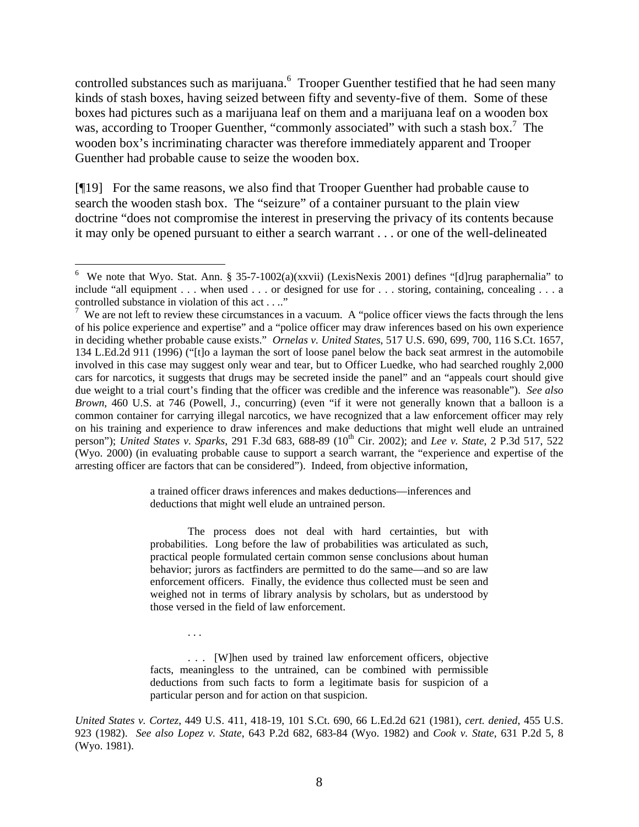controlled substances such as marijuana. <sup>6</sup> Trooper Guenther testified that he had seen many kinds of stash boxes, having seized between fifty and seventy-five of them. Some of these boxes had pictures such as a marijuana leaf on them and a marijuana leaf on a wooden box was, according to Trooper Guenther, "commonly associated" with such a stash box.<sup>7</sup> The wooden box's incriminating character was therefore immediately apparent and Trooper Guenther had probable cause to seize the wooden box.

[¶19] For the same reasons, we also find that Trooper Guenther had probable cause to search the wooden stash box. The "seizure" of a container pursuant to the plain view doctrine "does not compromise the interest in preserving the privacy of its contents because it may only be opened pursuant to either a search warrant . . . or one of the well-delineated

 $\overline{a}$ 

a trained officer draws inferences and makes deductions—inferences and deductions that might well elude an untrained person.

The process does not deal with hard certainties, but with probabilities. Long before the law of probabilities was articulated as such, practical people formulated certain common sense conclusions about human behavior; jurors as factfinders are permitted to do the same—and so are law enforcement officers. Finally, the evidence thus collected must be seen and weighed not in terms of library analysis by scholars, but as understood by those versed in the field of law enforcement.

. . . [W]hen used by trained law enforcement officers, objective facts, meaningless to the untrained, can be combined with permissible deductions from such facts to form a legitimate basis for suspicion of a particular person and for action on that suspicion.

. . .

*United States v. Cortez*, 449 U.S. 411, 418-19, 101 S.Ct. 690, 66 L.Ed.2d 621 (1981), *cert. denied*, 455 U.S. 923 (1982). *See also Lopez v. State*, 643 P.2d 682, 683-84 (Wyo. 1982) and *Cook v. State*, 631 P.2d 5, 8 (Wyo. 1981).

<sup>&</sup>lt;sup>6</sup> We note that Wyo. Stat. Ann. § 35-7-1002(a)(xxvii) (LexisNexis 2001) defines "[d]rug paraphernalia" to include "all equipment  $\dots$  when used  $\dots$  or designed for use for  $\dots$  storing, containing, concealing  $\dots$  a controlled substance in violation of this act . . .."

<sup>&</sup>lt;sup>7</sup> We are not left to review these circumstances in a vacuum. A "police officer views the facts through the lens of his police experience and expertise" and a "police officer may draw inferences based on his own experience in deciding whether probable cause exists." *Ornelas v. United States*, 517 U.S. 690, 699, 700, 116 S.Ct. 1657, 134 L.Ed.2d 911 (1996) ("[t]o a layman the sort of loose panel below the back seat armrest in the automobile involved in this case may suggest only wear and tear, but to Officer Luedke, who had searched roughly 2,000 cars for narcotics, it suggests that drugs may be secreted inside the panel" and an "appeals court should give due weight to a trial court's finding that the officer was credible and the inference was reasonable"). *See also Brown*, 460 U.S. at 746 (Powell, J., concurring) (even "if it were not generally known that a balloon is a common container for carrying illegal narcotics, we have recognized that a law enforcement officer may rely on his training and experience to draw inferences and make deductions that might well elude an untrained person"); *United States v. Sparks*, 291 F.3d 683, 688-89 (10<sup>th</sup> Cir. 2002); and *Lee v. State*, 2 P.3d 517, 522 (Wyo. 2000) (in evaluating probable cause to support a search warrant, the "experience and expertise of the arresting officer are factors that can be considered"). Indeed, from objective information,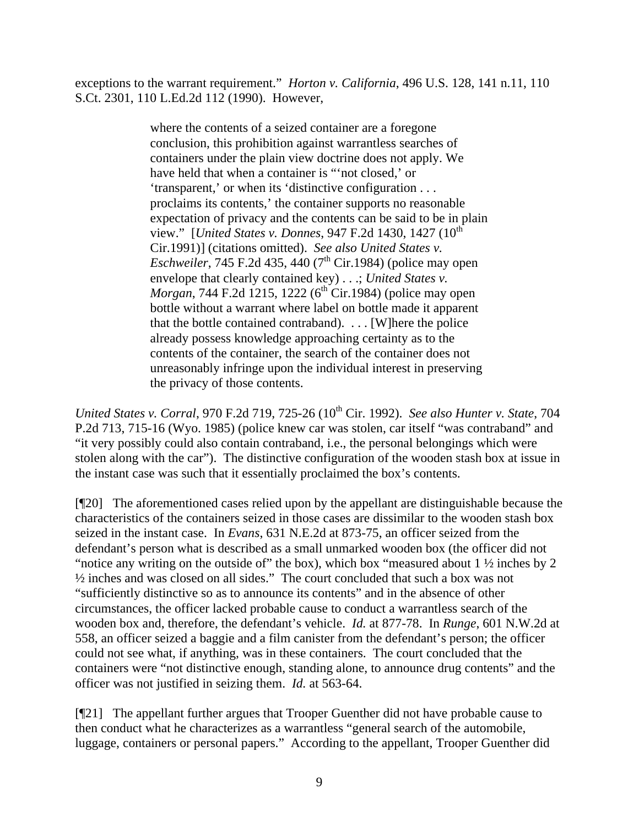exceptions to the warrant requirement." *Horton v. California*, 496 U.S. 128, 141 n.11, 110 S.Ct. 2301, 110 L.Ed.2d 112 (1990). However,

> where the contents of a seized container are a foregone conclusion, this prohibition against warrantless searches of containers under the plain view doctrine does not apply. We have held that when a container is "'not closed,' or 'transparent,' or when its 'distinctive configuration . . . proclaims its contents,' the container supports no reasonable expectation of privacy and the contents can be said to be in plain view." [*United States v. Donnes*, 947 F.2d 1430, 1427 (10<sup>th</sup>) Cir.1991)] (citations omitted). *See also United States v. Eschweiler*, 745 F.2d 435, 440  $(7<sup>th</sup>$  Cir.1984) (police may open envelope that clearly contained key) . . .; *United States v. Morgan*, 744 F.2d 1215, 1222 (6<sup>th</sup> Cir.1984) (police may open bottle without a warrant where label on bottle made it apparent that the bottle contained contraband). . . . [W]here the police already possess knowledge approaching certainty as to the contents of the container, the search of the container does not unreasonably infringe upon the individual interest in preserving the privacy of those contents.

*United States v. Corral, 970 F.2d 719, 725-26 (10<sup>th</sup> Cir. 1992). <i>See also Hunter v. State, 704* P.2d 713, 715-16 (Wyo. 1985) (police knew car was stolen, car itself "was contraband" and "it very possibly could also contain contraband, i.e., the personal belongings which were stolen along with the car"). The distinctive configuration of the wooden stash box at issue in the instant case was such that it essentially proclaimed the box's contents.

[¶20] The aforementioned cases relied upon by the appellant are distinguishable because the characteristics of the containers seized in those cases are dissimilar to the wooden stash box seized in the instant case. In *Evans*, 631 N.E.2d at 873-75, an officer seized from the defendant's person what is described as a small unmarked wooden box (the officer did not "notice any writing on the outside of" the box), which box "measured about  $1\frac{1}{2}$  inches by 2 ½ inches and was closed on all sides." The court concluded that such a box was not "sufficiently distinctive so as to announce its contents" and in the absence of other circumstances, the officer lacked probable cause to conduct a warrantless search of the wooden box and, therefore, the defendant's vehicle. *Id.* at 877-78. In *Runge*, 601 N.W.2d at 558, an officer seized a baggie and a film canister from the defendant's person; the officer could not see what, if anything, was in these containers. The court concluded that the containers were "not distinctive enough, standing alone, to announce drug contents" and the officer was not justified in seizing them. *Id.* at 563-64.

[¶21] The appellant further argues that Trooper Guenther did not have probable cause to then conduct what he characterizes as a warrantless "general search of the automobile, luggage, containers or personal papers." According to the appellant, Trooper Guenther did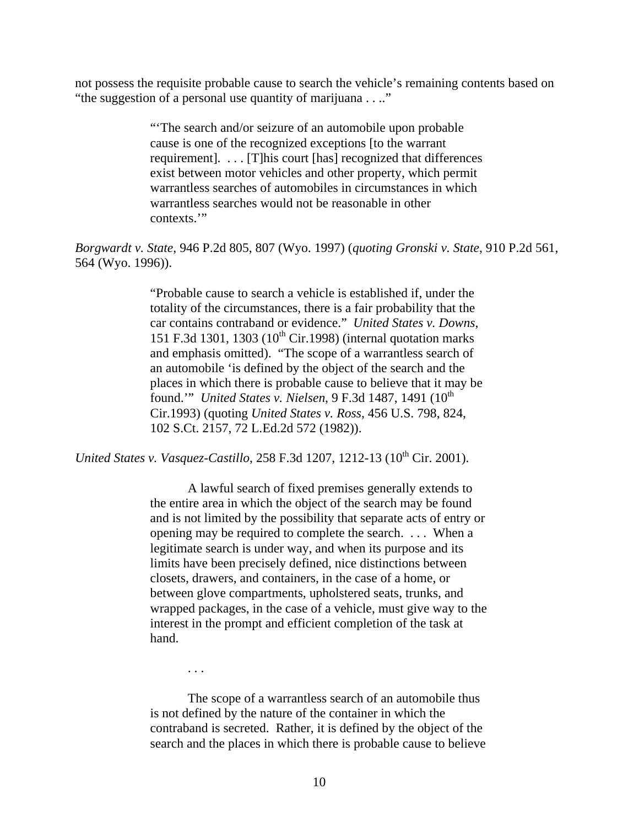not possess the requisite probable cause to search the vehicle's remaining contents based on "the suggestion of a personal use quantity of marijuana . . .."

> "'The search and/or seizure of an automobile upon probable cause is one of the recognized exceptions [to the warrant requirement]. . . . [T]his court [has] recognized that differences exist between motor vehicles and other property, which permit warrantless searches of automobiles in circumstances in which warrantless searches would not be reasonable in other contexts."

*Borgwardt v. State*, 946 P.2d 805, 807 (Wyo. 1997) (*quoting Gronski v. State*, 910 P.2d 561, 564 (Wyo. 1996)).

> "Probable cause to search a vehicle is established if, under the totality of the circumstances, there is a fair probability that the car contains contraband or evidence." *United States v. Downs*, 151 F.3d 1301, 1303 ( $10^{th}$  Cir.1998) (internal quotation marks and emphasis omitted). "The scope of a warrantless search of an automobile 'is defined by the object of the search and the places in which there is probable cause to believe that it may be found." *United States v. Nielsen*, 9 F.3d 1487, 1491 (10<sup>th</sup>) Cir.1993) (quoting *United States v. Ross*, 456 U.S. 798, 824, 102 S.Ct. 2157, 72 L.Ed.2d 572 (1982)).

*United States v. Vasquez-Castillo, 258 F.3d 1207, 1212-13 (10<sup>th</sup> Cir. 2001).* 

A lawful search of fixed premises generally extends to the entire area in which the object of the search may be found and is not limited by the possibility that separate acts of entry or opening may be required to complete the search. . . . When a legitimate search is under way, and when its purpose and its limits have been precisely defined, nice distinctions between closets, drawers, and containers, in the case of a home, or between glove compartments, upholstered seats, trunks, and wrapped packages, in the case of a vehicle, must give way to the interest in the prompt and efficient completion of the task at hand.

. . .

The scope of a warrantless search of an automobile thus is not defined by the nature of the container in which the contraband is secreted. Rather, it is defined by the object of the search and the places in which there is probable cause to believe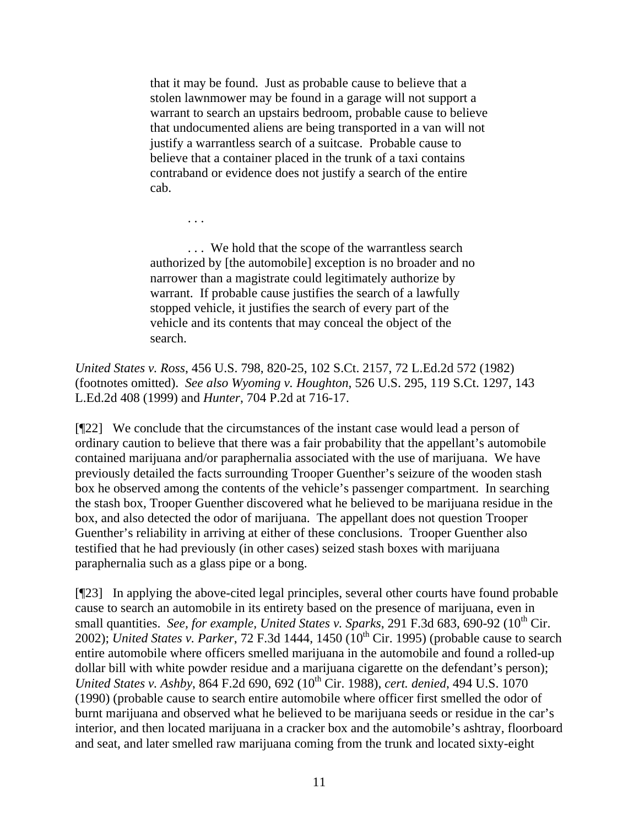that it may be found. Just as probable cause to believe that a stolen lawnmower may be found in a garage will not support a warrant to search an upstairs bedroom, probable cause to believe that undocumented aliens are being transported in a van will not justify a warrantless search of a suitcase. Probable cause to believe that a container placed in the trunk of a taxi contains contraband or evidence does not justify a search of the entire cab.

... We hold that the scope of the warrantless search authorized by [the automobile] exception is no broader and no narrower than a magistrate could legitimately authorize by warrant. If probable cause justifies the search of a lawfully stopped vehicle, it justifies the search of every part of the vehicle and its contents that may conceal the object of the search.

. . .

*United States v. Ross*, 456 U.S. 798, 820-25, 102 S.Ct. 2157, 72 L.Ed.2d 572 (1982) (footnotes omitted). *See also Wyoming v. Houghton*, 526 U.S. 295, 119 S.Ct. 1297, 143 L.Ed.2d 408 (1999) and *Hunter*, 704 P.2d at 716-17.

[¶22] We conclude that the circumstances of the instant case would lead a person of ordinary caution to believe that there was a fair probability that the appellant's automobile contained marijuana and/or paraphernalia associated with the use of marijuana. We have previously detailed the facts surrounding Trooper Guenther's seizure of the wooden stash box he observed among the contents of the vehicle's passenger compartment. In searching the stash box, Trooper Guenther discovered what he believed to be marijuana residue in the box, and also detected the odor of marijuana. The appellant does not question Trooper Guenther's reliability in arriving at either of these conclusions. Trooper Guenther also testified that he had previously (in other cases) seized stash boxes with marijuana paraphernalia such as a glass pipe or a bong.

[¶23] In applying the above-cited legal principles, several other courts have found probable cause to search an automobile in its entirety based on the presence of marijuana, even in small quantities. *See, for example, United States v. Sparks*, 291 F.3d 683, 690-92 (10<sup>th</sup> Cir. 2002); *United States v. Parker*, 72 F.3d 1444, 1450 (10th Cir. 1995) (probable cause to search entire automobile where officers smelled marijuana in the automobile and found a rolled-up dollar bill with white powder residue and a marijuana cigarette on the defendant's person); *United States v. Ashby*, 864 F.2d 690, 692 (10<sup>th</sup> Cir. 1988), *cert. denied*, 494 U.S. 1070 (1990) (probable cause to search entire automobile where officer first smelled the odor of burnt marijuana and observed what he believed to be marijuana seeds or residue in the car's interior, and then located marijuana in a cracker box and the automobile's ashtray, floorboard and seat, and later smelled raw marijuana coming from the trunk and located sixty-eight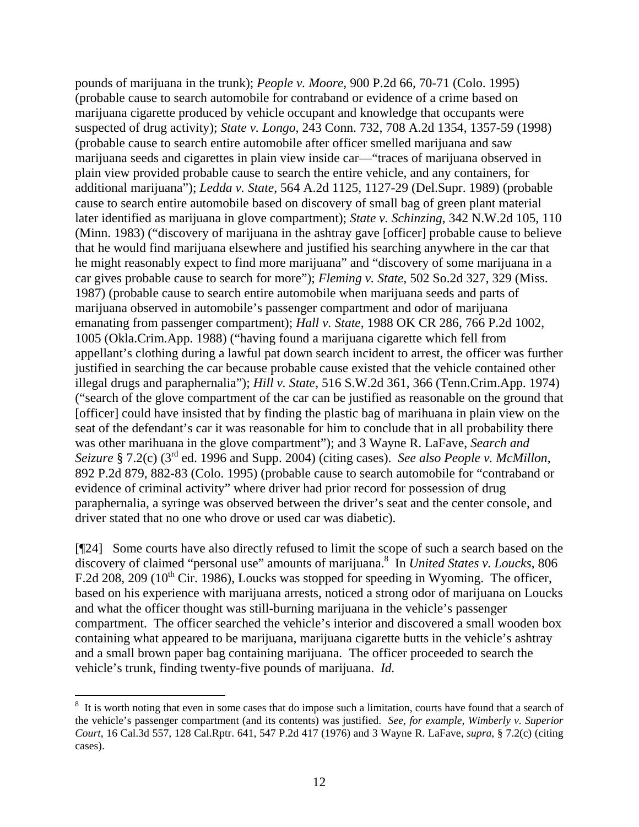pounds of marijuana in the trunk); *People v. Moore*, 900 P.2d 66, 70-71 (Colo. 1995) (probable cause to search automobile for contraband or evidence of a crime based on marijuana cigarette produced by vehicle occupant and knowledge that occupants were suspected of drug activity); *State v. Longo*, 243 Conn. 732, 708 A.2d 1354, 1357-59 (1998) (probable cause to search entire automobile after officer smelled marijuana and saw marijuana seeds and cigarettes in plain view inside car—"traces of marijuana observed in plain view provided probable cause to search the entire vehicle, and any containers, for additional marijuana"); *Ledda v. State*, 564 A.2d 1125, 1127-29 (Del.Supr. 1989) (probable cause to search entire automobile based on discovery of small bag of green plant material later identified as marijuana in glove compartment); *State v. Schinzing*, 342 N.W.2d 105, 110 (Minn. 1983) ("discovery of marijuana in the ashtray gave [officer] probable cause to believe that he would find marijuana elsewhere and justified his searching anywhere in the car that he might reasonably expect to find more marijuana" and "discovery of some marijuana in a car gives probable cause to search for more"); *Fleming v. State*, 502 So.2d 327, 329 (Miss. 1987) (probable cause to search entire automobile when marijuana seeds and parts of marijuana observed in automobile's passenger compartment and odor of marijuana emanating from passenger compartment); *Hall v. State*, 1988 OK CR 286, 766 P.2d 1002, 1005 (Okla.Crim.App. 1988) ("having found a marijuana cigarette which fell from appellant's clothing during a lawful pat down search incident to arrest, the officer was further justified in searching the car because probable cause existed that the vehicle contained other illegal drugs and paraphernalia"); *Hill v. State*, 516 S.W.2d 361, 366 (Tenn.Crim.App. 1974) ("search of the glove compartment of the car can be justified as reasonable on the ground that [officer] could have insisted that by finding the plastic bag of marihuana in plain view on the seat of the defendant's car it was reasonable for him to conclude that in all probability there was other marihuana in the glove compartment"); and 3 Wayne R. LaFave, *Search and Seizure* § 7.2(c) (3rd ed. 1996 and Supp. 2004) (citing cases). *See also People v. McMillon*, 892 P.2d 879, 882-83 (Colo. 1995) (probable cause to search automobile for "contraband or evidence of criminal activity" where driver had prior record for possession of drug paraphernalia, a syringe was observed between the driver's seat and the center console, and driver stated that no one who drove or used car was diabetic).

[¶24] Some courts have also directly refused to limit the scope of such a search based on the discovery of claimed "personal use" amounts of marijuana.<sup>8</sup> In *United States v. Loucks*, 806 F.2d 208, 209 ( $10^{th}$  Cir. 1986), Loucks was stopped for speeding in Wyoming. The officer, based on his experience with marijuana arrests, noticed a strong odor of marijuana on Loucks and what the officer thought was still-burning marijuana in the vehicle's passenger compartment. The officer searched the vehicle's interior and discovered a small wooden box containing what appeared to be marijuana, marijuana cigarette butts in the vehicle's ashtray and a small brown paper bag containing marijuana. The officer proceeded to search the vehicle's trunk, finding twenty-five pounds of marijuana. *Id.*

 $\overline{a}$ 

 $8\,$  It is worth noting that even in some cases that do impose such a limitation, courts have found that a search of the vehicle's passenger compartment (and its contents) was justified. *See, for example, Wimberly v. Superior Court*, 16 Cal.3d 557, 128 Cal.Rptr. 641, 547 P.2d 417 (1976) and 3 Wayne R. LaFave, *supra*, § 7.2(c) (citing cases).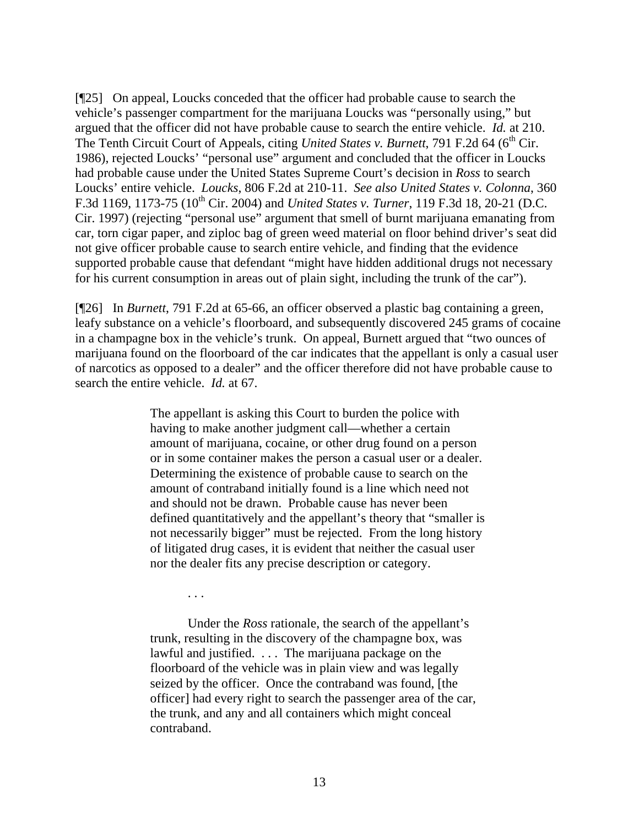[¶25] On appeal, Loucks conceded that the officer had probable cause to search the vehicle's passenger compartment for the marijuana Loucks was "personally using," but argued that the officer did not have probable cause to search the entire vehicle. *Id.* at 210. The Tenth Circuit Court of Appeals, citing *United States v. Burnett*, 791 F.2d 64 (6<sup>th</sup> Cir. 1986), rejected Loucks' "personal use" argument and concluded that the officer in Loucks had probable cause under the United States Supreme Court's decision in *Ross* to search Loucks' entire vehicle. *Loucks*, 806 F.2d at 210-11. *See also United States v. Colonna*, 360 F.3d 1169, 1173-75 (10th Cir. 2004) and *United States v. Turner*, 119 F.3d 18, 20-21 (D.C. Cir. 1997) (rejecting "personal use" argument that smell of burnt marijuana emanating from car, torn cigar paper, and ziploc bag of green weed material on floor behind driver's seat did not give officer probable cause to search entire vehicle, and finding that the evidence supported probable cause that defendant "might have hidden additional drugs not necessary for his current consumption in areas out of plain sight, including the trunk of the car").

[¶26] In *Burnett*, 791 F.2d at 65-66, an officer observed a plastic bag containing a green, leafy substance on a vehicle's floorboard, and subsequently discovered 245 grams of cocaine in a champagne box in the vehicle's trunk. On appeal, Burnett argued that "two ounces of marijuana found on the floorboard of the car indicates that the appellant is only a casual user of narcotics as opposed to a dealer" and the officer therefore did not have probable cause to search the entire vehicle. *Id.* at 67.

> The appellant is asking this Court to burden the police with having to make another judgment call—whether a certain amount of marijuana, cocaine, or other drug found on a person or in some container makes the person a casual user or a dealer. Determining the existence of probable cause to search on the amount of contraband initially found is a line which need not and should not be drawn. Probable cause has never been defined quantitatively and the appellant's theory that "smaller is not necessarily bigger" must be rejected. From the long history of litigated drug cases, it is evident that neither the casual user nor the dealer fits any precise description or category.

> > . . .

 Under the *Ross* rationale, the search of the appellant's trunk, resulting in the discovery of the champagne box, was lawful and justified. ... The marijuana package on the floorboard of the vehicle was in plain view and was legally seized by the officer. Once the contraband was found, [the officer] had every right to search the passenger area of the car, the trunk, and any and all containers which might conceal contraband.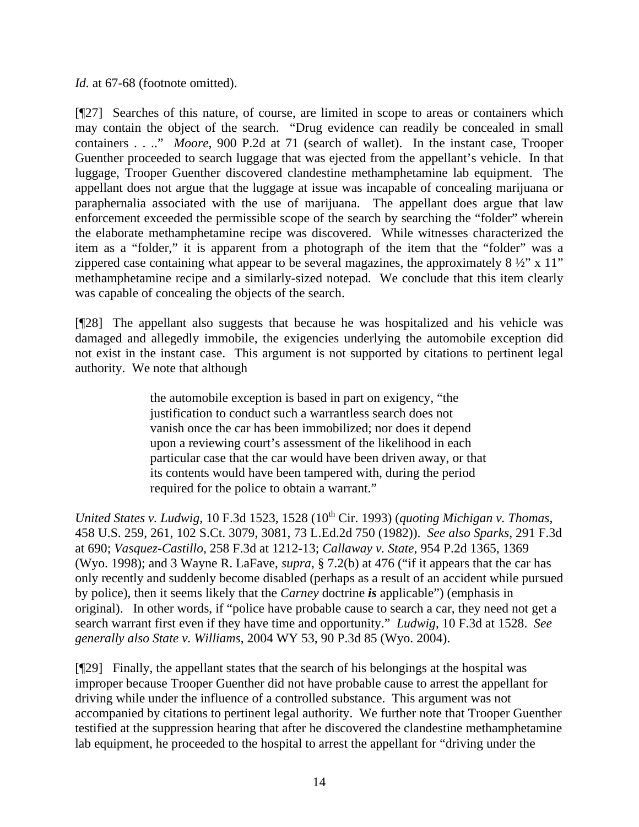*Id.* at 67-68 (footnote omitted).

[¶27] Searches of this nature, of course, are limited in scope to areas or containers which may contain the object of the search. "Drug evidence can readily be concealed in small containers . . .." *Moore*, 900 P.2d at 71 (search of wallet). In the instant case, Trooper Guenther proceeded to search luggage that was ejected from the appellant's vehicle. In that luggage, Trooper Guenther discovered clandestine methamphetamine lab equipment. The appellant does not argue that the luggage at issue was incapable of concealing marijuana or paraphernalia associated with the use of marijuana. The appellant does argue that law enforcement exceeded the permissible scope of the search by searching the "folder" wherein the elaborate methamphetamine recipe was discovered. While witnesses characterized the item as a "folder," it is apparent from a photograph of the item that the "folder" was a zippered case containing what appear to be several magazines, the approximately  $8\frac{1}{2}$ " x 11" methamphetamine recipe and a similarly-sized notepad. We conclude that this item clearly was capable of concealing the objects of the search.

[¶28] The appellant also suggests that because he was hospitalized and his vehicle was damaged and allegedly immobile, the exigencies underlying the automobile exception did not exist in the instant case. This argument is not supported by citations to pertinent legal authority. We note that although

> the automobile exception is based in part on exigency, "the justification to conduct such a warrantless search does not vanish once the car has been immobilized; nor does it depend upon a reviewing court's assessment of the likelihood in each particular case that the car would have been driven away, or that its contents would have been tampered with, during the period required for the police to obtain a warrant."

*United States v. Ludwig, 10 F.3d 1523, 1528 (10<sup>th</sup> Cir. 1993) (<i>quoting Michigan v. Thomas*, 458 U.S. 259, 261, 102 S.Ct. 3079, 3081, 73 L.Ed.2d 750 (1982)). *See also Sparks*, 291 F.3d at 690; *Vasquez-Castillo*, 258 F.3d at 1212-13; *Callaway v. State*, 954 P.2d 1365, 1369 (Wyo. 1998); and 3 Wayne R. LaFave, *supra*, § 7.2(b) at 476 ("if it appears that the car has only recently and suddenly become disabled (perhaps as a result of an accident while pursued by police), then it seems likely that the *Carney* doctrine *is* applicable") (emphasis in original). In other words, if "police have probable cause to search a car, they need not get a search warrant first even if they have time and opportunity." *Ludwig*, 10 F.3d at 1528. *See generally also State v. Williams*, 2004 WY 53, 90 P.3d 85 (Wyo. 2004).

[¶29] Finally, the appellant states that the search of his belongings at the hospital was improper because Trooper Guenther did not have probable cause to arrest the appellant for driving while under the influence of a controlled substance. This argument was not accompanied by citations to pertinent legal authority. We further note that Trooper Guenther testified at the suppression hearing that after he discovered the clandestine methamphetamine lab equipment, he proceeded to the hospital to arrest the appellant for "driving under the